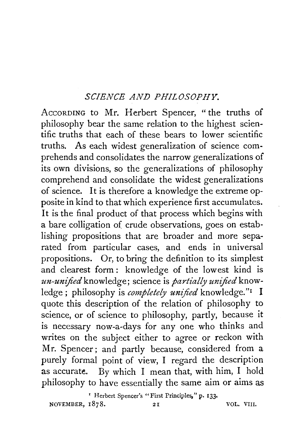## *SCIENCE AND PHILOSOPHY.*

AccoRDING to Mr. Herbert Spencer, "the truths of philosophy bear the same relation to the highest scientific truths that each of these bears to lower scientific truths. As each widest generalization of science comprehends and consolidates the narrow generalizations of its own divisions, so the generalizations of philosophy comprehend and consolidate the widest generalizations of science. It is therefore a knowledge the extreme opposite in kind to that which experience first accumulates. It is the final product of that process which begins with a bare colligation of crude observations, goes on establishing propositions that are broader and more separated from particular cases, and ends in universal propositions. Or, to bring the definition to its simplest and clearest form : knowledge of the lowest kind is *un-unified* knowledge; science is *partially unified* knowledge; philosophy is *completely unified* knowledge."<sup>1</sup> I quote this description of the relation of philosophy to science, or of science to philosophy, partly, because it is necessary now-a-days for any one who thinks and writes on the subject either to agree or reckon with Mr. Spencer; and partly because, considered from a purely formal point of view, I regard the description as accurate. By which I mean that, with him, I hold philosophy to have essentially the same aim or aims as

x Herbert Spencer's "First Principles," p. 133• NOVEMBER, 1878. 21 VOL. VIII.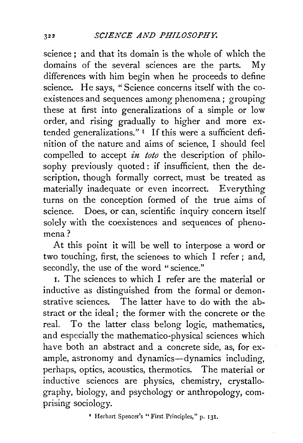science: and that its domain is the whole of which the domains of the several sciences are the parts. My differences with him begin when he proceeds to define science. He says, "Science concerns itself with the eoexistences and sequences among phenomena; grouping these at first into generalizations of a simple or low order, and rising gradually to higher and more extended generalizations." $1$  If this were a sufficient definition of the nature and aims of science, I should feel compelled to accept *in toto* the description of philosophy previously quoted : if insufficient, then the description, though formally correct, must be treated as materially inadequate or even incorrect. Everything turns on the conception formed of the true aims of science. Does, or can, scientific inquiry concern itself solely with the coexistences and sequences of phenomena?

At this point it will be well to interpose a word or two touching, first, the sciences to which I refer; and, secondly, the use of the word "science."

I. The sciences to which I refer are the material or inductive as distinguished from the formal or demonstrative sciences. The latter have to do with the abstract or the ideal; the former with the concrete or the reaL To the latter class belong logic, mathematics, and especially the mathematico-physical sciences which have both an abstract and a concrete side, as, for example, astronomy and dynamics-dynamics including, perhaps, optics, acoustics, thermotics. The material or inductive sciences are physics, chemistry, crystallography, biology, and psychology or anthropology, comprising sociology.

• Herbert Spencer's "First Principles," p. 131.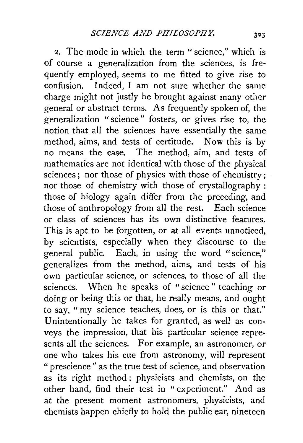2. The mode in which the term "science," which is of course a generalization from the sciences, is frequently employed, seems to me fitted to give rise to confusion. Indeed, I am not sure whether the same charge might not justly be brought against many other general or abstract terms. As frequently spoken of, the generalization "science" fosters, or gives rise to, the notion that all the sciences have essentially the same method, aims, and tests of certitude. Now this is by no means the case. The method, aim, and tests of mathematics are not identical with those of the physical sciences; nor those of physics with those of chemistry; nor those of chemistry with those of crystallography : those of biology again differ from the preceding, and those of anthropology from all the rest. Each science or class of sciences has its own distinctive features. This is apt to be forgotten, or at all events unnoticed, by scientists, especially when they discourse to the general public. Each, in using the word "science," generalizes from the method, aims, and tests of his own particular science, or sciences, to those of all the sciences. When he speaks of "science " teaching or doing or being this or that, he really means, and ought to say, "my science teaches, does, or is this or that." Unintentionally he takes for granted, as well as conveys the impression, that his particular science represents all the sciences. For example, an astronomer, or one who takes his cue from astronomy, will represent "prescience" as the true test of science, and observation as its right method : physicists and chemists, on the other hand, find their test in " experiment." And as at the present moment astronomers, physicists, and chemists happen chiefly to hold the public ear, nineteen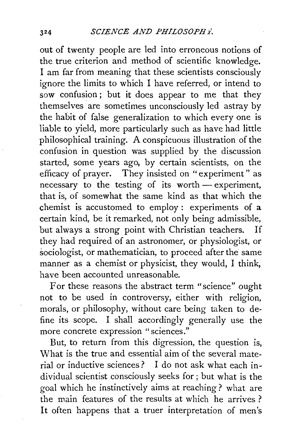out of twenty people are led into erroneous notions of the true criterion and method of scientific knowledge. I am far from meaning that these scientists consciously ignore the limits to which I have referred, or intend to sow confusion ; but it does appear to me that they themselves are sometimes unconsciously led astray by the habit of false generalization to which every one is liable to yield, more particularly such as have had little philosophical training. A conspicuous illustration of the confusion in question was supplied by the discussion started, some years ago, by certain scientists, on the efficacy of prayer. They insisted on "experiment" as necessary to the testing of its worth — experiment, that is, of somewhat the same kind as that which the chemist is accustomed to employ: experiments of a certain kind, be it remarked, not only being admissible, but always a strong point with Christian teachers. If they had required of an astronomer, or physiologist, or sociologist, or mathematician, to proceed after the same manner as a chemist or physicist, they would, I think, have been accounted unreasonable.

For these reasons the abstract term "science" ought not to be used in controversy, either with religion, morals, or philosophy, without care being taken to define its scope. I shall accordingly generally use the more concrete expression "sciences."

But, to return from this digression, the question is, What is the true and essential aim of the several material or inductive sciences? I do not ask what each individual scientist consciously seeks for; but what is the goal which he instinctively aims at reaching? what are the main features of the results at which he arrives ? It often happens that a truer interpretation of men's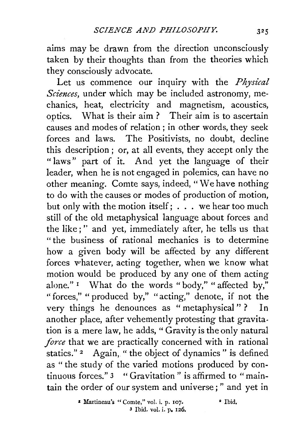aims may be drawn from the direction unconsciously taken by their thoughts than from the theories which they consciously advocate.

Let us commence our inquiry with the *Physical Sciences,* under which may be included astronomy, mechanics, heat, electricity and magnetism, acoustics, optics. What is their aim ? Their aim is to ascertain causes and modes of relation ; in other words, they seek forces and laws. The Positivists, no doubt, decline this description; or, at all events, they accept only the "laws" part of it. And yet the language of their leader, when he is not engaged in polemics, can have no other meaning. Comte says, indeed, "We have nothing to do with the causes or modes of production of motion, but only with the motion itself :  $\cdot \cdot$  we hear too much still of the old metaphysical language about forces and the like ; '' and yet, immediately after, he tells us that " the business of rational mechanics is to determine how a given body will be affected by any different forces vrhatever, acting together, when we know what motion would be produced by any one of them acting alone." <sup>1</sup> What do the words "body," "affected by," " forces," " produced by," "acting," denote, if not the very things he denounces as "metaphysical" ? In another place, after vehemently protesting that gravitation is a mere law, he adds, "Gravity is the only natural *force* that we are practically concerned with in rational statics." <sup>2</sup> Again, " the object of dynamics" is defined as " the study of the varied motions produced by continuous forces." 3 "Gravitation" is affirmed to "maintain the order of our system and universe;" and yet in

> • Martineau's "Comte," vol. i. p. 107. • Ibid. 3 Ibid. vol. i. P• 126.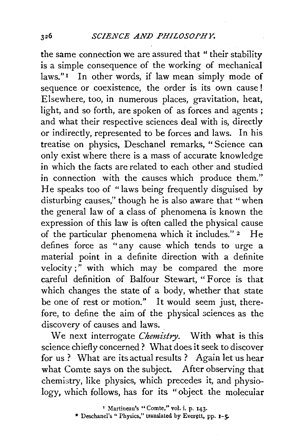the same connection we are assured that " their stability is a simple consequence of the working of mechanical laws."<sup>1</sup> In other words, if law mean simply mode of sequence or coexistence, the order is its own cause ! Elsewhere, too, in numerous places, gravitation, heat, light, and so forth, are spoken of as forces and agents ; and what their respective sciences deal with is, directly or indirectly, represented to be forces and laws. In his treatise on physics, Deschanel remarks, " Science can only exist where there is a mass of accurate knowledge in which the facts are related to each other and studied in connection with the causes which produce them." He speaks too of "laws being frequently disguised by disturbing causes," though he is also aware that "when the general law of a class of phenomena is known the expression of this law is often called the physical cause of the particular phenomena which it includes." 2 He defines force as "any cause which tends to urge a material point in a definite direction with a definite velocity;" with which may be compared the more careful definition of Balfour Stewart, " Force is that which changes the state of a body, whether that state be one of rest or motion." It would seem just, therefore, to define the aim of the physical sciences as the discovery of causes and laws.

We next interrogate *Chemistry.* With what is this science chiefly concerned? What does it seek to discover for us ? What are its actual results ? Again let us hear what Comte says on the subject. After observing that chemistry, like physics, which precedes it, and physiology, which follows, has for its "object the molecuiar

• Martineau's "Comte," vol. i. p. 143·

\* Deschanel's " Physics," translated by Everett, pp. 1-5-

 $326$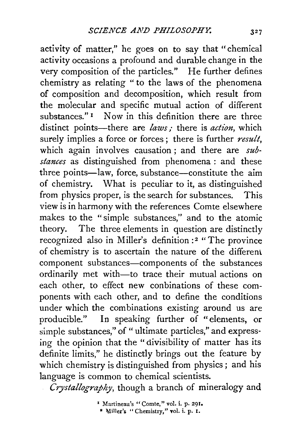activity of matter," he goes on to say that "chemical activity occasions a profound and durable change in the very composition of the particles." He further defines chemistry as relating " to the laws of the phenomena of composition and decomposition, which result from the molecular and specific mutual action of different substances."<sup>1</sup> Now in this definition there are three distinct points—there are *laws*; there is *action*, which surely implies a force or forces; there is further *result,*  which again involves causation; and there are *substances* as distinguished from phenomena : and these three points—law, force, substance—constitute the aim of chemistry. What is peculiar to it, as distinguished from physics proper, is the search for substances. This view is in harmony with the references Comte elsewhere makes to the "simple substances," and to the atomic theory. The three elements in question are distinctly recognized also in Miller's definition :2 "The province of chemistry is to ascertain the nature of the differenl. component substances-components of the substances ordinarily met with-to trace their mutual actions on each other, to effect new conbinations of these components with each other, and to define the conditions under which the combinations existing around us are producible." In speaking further of "elements, or simple substances," of "ultimate particles," and expressing the opinion that the "divisibility of matter has its definite limits," he distinctly brings out the feature by which chemistry is distinguished from physics; and his language is common to chemical scientists.

*Crystallography,* though a branch of mineralogy and

<sup>&</sup>lt;sup>1</sup> Martineau's "Comte," vol. i. p. 291. <sup>\*</sup> Miller's "Chemistry," vol. i. p. 1.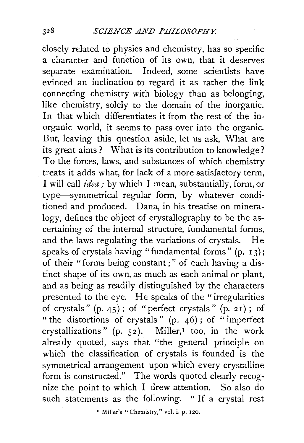closely related to physics and chemistry, has so specific a character and function of its own, that it deserves separate examination. Indeed, some scientists have evinced an inclination to regard it as rather the link connecting chemistry with biology than as belonging, like chemistry, solely to the domain of the inorganic. In that which differentiates it from the rest of the inorganic world, it seems to pass over into the organic. But, leaving this question aside, let us ask, What are its great aims ? What is its contribution to knowledge? To the forces, laws, and substances of which chemistry treats it adds what, for lack of a more satisfactory term, I will call *idea;* by which I mean, substantially, form, or type-symmetrical regular form, by whatever conditioned and produced. Dana, in his treatise on mineralogy, defines the object of crystallography to be the ascertaining of the internal structure, fundamental forms, and the laws regulating the variations of crystals. He speaks of crystals having "fundamental forms" (p. 13); of their "forms being constant;" of each having a distinct shape of its own, as much as each animal or plant, and as being as readily distinguished by the characters presented to the eye. He speaks of the "irregularities of crystals " (p. 45) ; of " perfect crystals " (p. *2* I) ; of "the distortions of crystals" (p. 46); of "imperfect crystallizations" (p. 52). Miller,<sup>1</sup> too, in the work already quoted, says that "the general principle on which the classification of crystals is founded is the symmetrical arrangement upon which every crystalline form is constructed." The words quoted clearly recognize the point to which I drew attention. So also do such statements as the following. " If a crystal rest

<sup>1</sup> Miller's "Chemistry," vol. i. p. 120.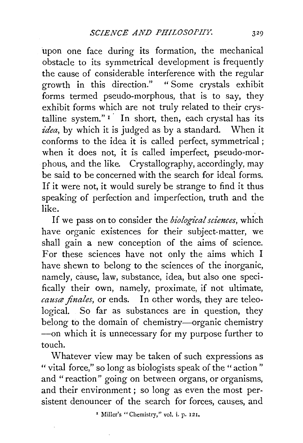upon one face during its formation, the mechanical obstacle to its symmetrical development is frequently the cause of considerable interference with the regular growth in this direction." " Some crystals exhibit forms termed pseudo-morphous, that is to say, they exhibit forms which are not truly related to their crystalline system." $\frac{1}{1}$  In short, then, each crystal has its *idea*, by which it is judged as by a standard. When it conforms to the idea **it** is called perfect, symmetrical ; when it does not, **it** is called imperfect, pseudo-morphous, and the like. Crystallography, accordingly, may be said to be concerned with the search for ideal forms. If it were not, it would surely be strange to find **it** thus speaking of perfection and imperfection, truth and the like.

If we pass on to consider the *biological sciences*, which have organic existences for their subject-matter, we shall gain a new conception of the aims of science. For these sciences have not only the aims which I have shewn to belong to the sciences of the inorganic, namely, cause, law, substance, idea, but also one specifically their own, namely, proximate, if not ultimate, causa finales, or ends. In other words, they are teleological. So far as substances are in question, they belong to the domain of chemistry-organic chemistry -- on which it is unnecessary for my purpose further to touch.

Whatever view may be taken of such expressions as " vital force," so long as biologists speak of the "action" and " reaction" going on between organs, or organisms, and their environment ; so long as even the most persistent denouncer of the search for forces, causes, and

1 Miller's "Chemistry," vol. i. p. 121.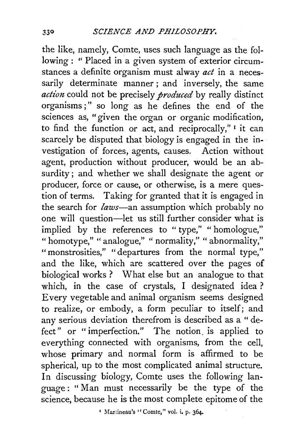the like, namely, Comte, uses such language as the following: "Placed in a given system of exterior circumstances a definite organism must alway *act* in a necessarily determinate manner; and inversely, the same action could not be precisely *produced* by really distinct organisms ; " so long as he defines the end of the sciences as, "given the organ or organic modification, to find the function or act, and reciprocally,"  $\frac{1}{1}$  it can scarcely be disputed that biology is engaged in the investigation of forces, agents, causes. Action without agent, production without producer, would be an absurdity; and whether we shall designate the agent or producer, force or cause, or otherwise, is a mere question of terms. Taking for granted that it is engaged in the search for *laws-an* assumption which probably no one will question-let us still further consider what is implied by the references to " type," " homologue," " homotype," " analogue," " normality," " abnormality," "monstrosities," "departures from the normal type," and the like, which are scattered over the pages of biological works ? What else but an analogue to that which, in the case of crystals, I designated idea ? Every vegetable and animal organism seems designed to realize, or embody, a form peculiar to itself; and any serious deviation therefrom is described as a " defect" or "imperfection." The notion, is applied to everything connected with organisms, from the cell, whose primary and normal form is affirmed to be spherical, up to the most complicated animal structure. In discussing biology, Comte uses the following language: "Man must necessarily be the type of the science, because he is the most complete epitome of the

' Martineau's "Comte," vol. i. p. 364-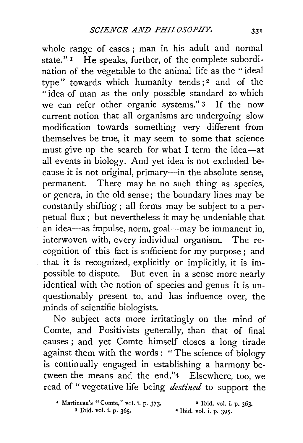whole range of cases ; man in his adult and normal state." $\mathbf{I}$  He speaks, further, of the complete subordination of the vegetable to the animal life as the " ideal type" towards which humanity tends;<sup>2</sup> and of the "idea of man as the only possible standard to which we can refer other organic systems." 3 If the now current notion that all organisms are undergoing slow modification towards something very different from themselves be true, it may seem to some that science must give up the search for what I term the idea-at all events in biology. And yet idea is not excluded because it is not original, primary—in the absolute sense, permanent. There may be no such thing as species, or genera, in the old sense; the boundary lines may be constantly shifting ; all forms may be subject to a perpetual flux ; but nevertheless it may be undeniable that an idea-as impulse, norm, goal--may be immanent in, interwoven with, every individual organism. The recognition of this fact is sufficient for my purpose ; and that it is recognized, explicitly or implicitly, it is impossible to dispute. But even in a sense more nearly identical with the notion of species and genus it is unquestionably present to, and has influence over, the minds of scientific biologists.

No subject acts more irritatingly on the mind of Comte, and Positivists generally, than that of final causes ; and yet Comte himself closes a long tirade against them with the words : "The science of biology is continually engaged in establishing a harmony between the means and the end."4 Elsewhere, too, we read of " vegetative life being *destined* to support the

<sup>1</sup>Martineau's "Comte," vol. i. p. 373· 3 Ibid. vol. i. p. 365. • Ibid. vol. i. p. 363- 4 Ibid. vol. i. p. 395·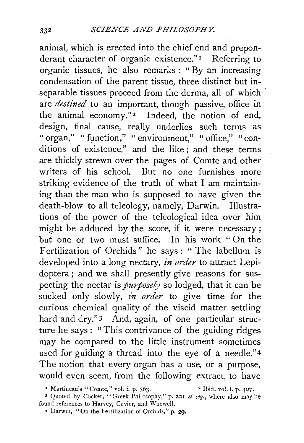animal, which is erected into the chief end and preponderant character of organic existence."<sup>1</sup> Referring to organic tissues, he also remarks : " By an increasing condensation of the parent tissue, three distinct but inseparable tissues proceed from the derma, all of which are *destined* to an important, though passive, office in the animal economy."<sup>2</sup> Indeed, the notion of end, design, final cause, really underlies such terms as "organ," " function," " environment," " office," " conditions of existence," and the like ; and these terms are thickly strewn over the pages of Comte and other writers of his school. But no one furnishes more striking evidence of the truth of what I am maintaining than the man who is supposed to have given the death-blow to all teleology, namely, Darwin. Illustrations of the power of the teleological idea over him might be adduced by the score, if it were necessary ; but one or two must suffice. In his work "On the Fertilization of Orchids" he says: " The labellum is developed into a long nectary, *in order* to attract Lepidoptera; and we shall presently give reasons for suspecting the nectar is *purposely* so lodged, that it can be sucked only slowly, *in order* to give time for the curious chemical quality of the viscid matter settling hard and dry."<sup>3</sup> And, again, of one particular structure he says: "This contrivance of the guiding ridges may be compared to the little instrument sometimes used for guiding a thread into the eye of a needle."4 The notion that every organ has a use, or a purpose, would even seem, from the following extract, to have

*•* Martineau's "Comte," vol. i. p. 363. • Ibid. vol. i. p. 407.

<sup>3</sup> Quoted by Cocker, "Greek Philosophy," p. 221 *et seq.,* where also may be found references to Harvey, Cuvier, and Whewell.

<sup>•</sup> Darwin, " On the Fertilization of Orchid;," p. 29.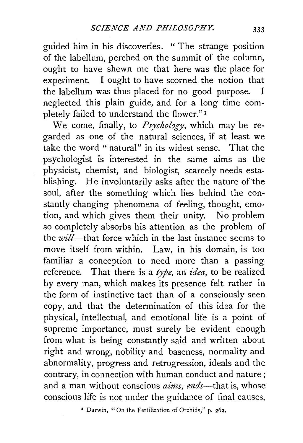guided him in his discoveries. "The strange position of the labellum, perched on the summit of the column, ought to have shewn me that here was the place for experiment. I ought to have scorned the notion that the labellum was thus placed for no good purpose. I neglected this plain guide, and for a long time completely failed to understand the flower." 1

We come, finally, to *Psychology,* which may be regarded as one of the natural sciences, if at least we take the word " natural" in its widest sense. That the psychologist is interested in the same aims as the physicist, chemist, and biologist, scarcely needs establishing. He involuntarily asks after the nature of the soul, after the something which lies behind the constantly changing phenomena of feeling, thought, emotion, and which gives them their unity. No problem so completely absorbs his attention as the problem of the *wz'll-that* force which in the last instance seems to move itself from within. Law, in his domain, is too familiar a conception to need more than a passing reference. That there is a *type,* an *idea,* to be realized by every man, which makes its presence felt rather in the form of instinctive tact than of a consciously seen copy, and that the determination of this idea for the physical, intellectual, and emotional life is a point of supreme importance, must surely be evident enough from what is being constantly said and written about right and wrong, nobility and baseness, normality and abnormality, progress and retrogression, ideals and the contrary, in connection with human conduct and nature ; and a man without conscious *aims, ends*—that is, whose conscious life is not under the guidance of final causes,

<sup>1</sup> Darwin, "On the Fertilization of Orchids," p. 262.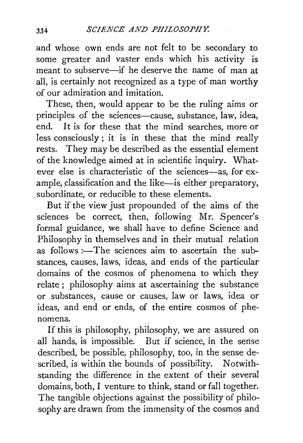and whose own ends are not felt to be secondary to some greater and vaster ends which his activity is meant to subserve-if he deserve the name of man at all, is certainly not recognized as a type of man worthy of our admiration and imitation.

These, then, would appear to be the ruling aims or principles of the sciences-cause, substance, law, idea, end. It is for these that the mind searches, more or less consciously ; it is in these that the mind really rests. They may be described as the essential element of the knowledge aimed at in scientific inquiry. Whatever else is characteristic of the sciences-as, for example, classification and the like-is either preparatory, subordinate, or reducible to these elements.

But if the view just propounded of the aims of the sciences be correct, then, following Mr. Spencer's formal guidance, we shall have to define Science and Philosophy in themselves and in their mutual relation as follows : $-T$ he sciences aim to ascertain the substances, causes, laws, ideas, and ends of the particular domains of the cosmos of phenomena to which they relate ; philosophy aims at ascertaining the substance or substances, cause or causes, law or laws, idea or ideas, and end or ends, of the entire cosmos of phenomena.

If this is philosophy, philosophy, we are assured on all hands, is impossible. But if science, in the sense described, be possible, philosophy, too, in the sense described, is within the bounds of possibility. Notwithstanding the difference in the extent of their several domains, both, I venture to think, stand or fall together. The tangible objections against the possibility of philosophy are drawn from the immensity of the cosmos and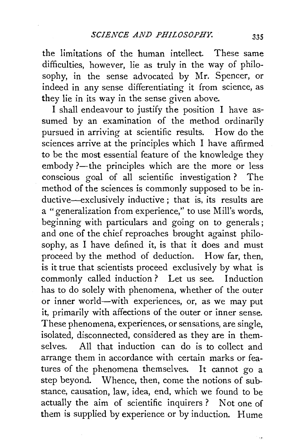the limitations of the human intellect. These same difficulties, however, lie as truly in the way of philosophy, in the sense advocated by Mr. Spencer, or indeed in any sense differentiating it from science, as they lie in its way in the sense given above.

I shall endeavour to justify the position I have assumed by an examination of the method ordinarily pursued in arriving at scientific results. How do the sciences arrive at the principles which I have affirmed to be the most essential feature of the knowledge they embody ?- the principles which are the more or less conscious goal of all scientific investigation ? The method of the sciences is commonly supposed to be inductive-exclusively inductive; that is, its results are a "generalization from experience,'' to use Mill's words, beginning with particulars and going on to generals ; and one of the chief reproaches brought against philosophy, as I have defined it, is that it does and must proceed by the method of deduction. How far, then, is it true that scientists proceed exclusively by what is commonly called induction? Let us see. Induction has to do solely with phenomena, whether of the outer or inner world-with experiences, or, as we may put it, primarily with affections of the outer or inner sense. These phenomena, experiences, or sensations, are single, isolated, disconnected, considered as they are in themselves. All that induction can do is to collect and arrange them in accordance with certain marks or features of the phenomena themselves. It cannot go a step beyond. Whence, then, come the notions of substance, causation, law, idea, end, which we found to be actually the aim of scientific inquirers ? Not one of them is supplied by experience or by induction. Hume

 $\ddot{\phantom{0}}$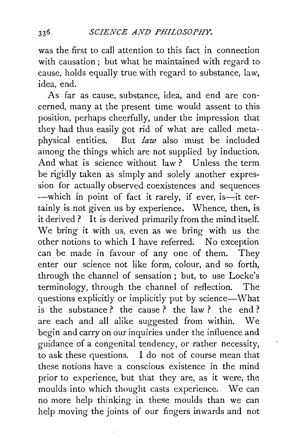was the first to call attention to this fact in connection. with causation ; but what he maintained with regard to cause, holds equally true with regard to substance, law, idea, end.

As far as cause, substance, idea, and end are concerned, many at the present time would assent to this position, perhaps cheerfully, under the impression that they had thus easily got rid of what are called metaphysical entities. But *law* also must be included among the things which are not supplied by induction. And what is science without law ? Unless the term be rigidly taken as simply and solely another expression for actually observed coexistences and sequences -which in point of fact it rarely, if ever, is-it certainly is not given us by experience. Whence, then, is it derived? It is derived primarily from the mind itself. We bring it with us, even as we bring with us the other notions to which I have referred. No exception can be made in favour of any one of them. They enter our science not like form, colour, and so forth, through the channel of sensation ; but, to use Locke's terminology, through the channel of reflection. The questions explicitly or implicitly put by science-What is the substance ? the cause ? the law ? the end ? are each and all alike suggested from within. We begin and carry on our inquiries under the influence and guidance of a congenital tendency, or rather necessity, to ask these questions. I do not of course mean that these notions have a conscious existence in the mind prior to experience, but that they are, as it were, the moulds into which thought casts experience. We can no more help thinking in these moulds than we can help moving the joints of our fingers inwards and not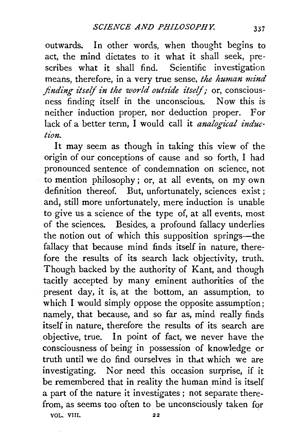outwards. In other words, when thought begins to act, the mind dictates to it what it shall seek, prescribes what it shall find. Scientific investigation means, therefore, in a very true sense, *the human mind finding itself in the world outside itself;* or, consciousness finding itself in the unconscious. Now this is neither induction proper, nor deduction proper. For lack of a better term, I would call it *analogical induction.* 

It may seem as though in taking this view of the origin of our conceptions of cause and so forth, I had pronounced sentence of condemnation on science, not to mention philosophy; or, at all events, on my own definition thereof. But, unfortunately, sciences exist ; and, still more unfortunately, mere induction is unable to give us a science of the type of, at all events, most of the sciences. Besides, a profound fallacy underlies the notion out of which this supposition springs-the fallacy that because mind finds itself in nature, therefore the results of its search lack objectivity, truth. Though backed by the authority of Kant, and though tacitly accepted by many eminent authorities of the present day, it is, at the bottom, an assumption, to which I would simply oppose the opposite assumption; namely, that because, and so far as, mind really finds itself in nature, therefore the results of its search are objective, true. In point of fact, we never have the consciousness of being in possession of knowledge or truth until we do find ourselves in that which we are investigating. Nor need this occasion surprise, if it be remembered that in reality the human mind is itself a part of the nature it investigates ; not separate therefrom, as seems too often to be unconsciously taken for VOL. VIII. 22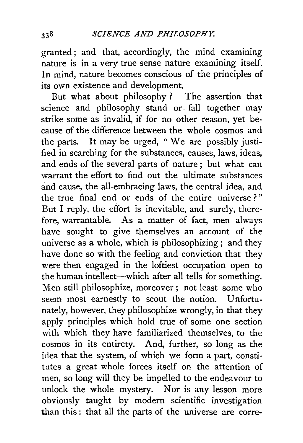granted; and that, accordingly, the mind examining nature is in a very true sense nature examining itself. In mind, nature becomes conscious of the principles of its own existence and development.

But what about philosophy ? The assertion that science and philosophy stand or. fall together may strike some as invalid, if for no other reason, yet because of the difference between the whole cosmos and the parts. It may be urged, "We are possibly justified in searching for the substances, causes, laws, ideas, and ends of the several parts of nature ; but what can warrant the effort to find out the ultimate substances and cause, the all-embracing laws, the central idea, and the true final end or ends of the entire universe ? " But I reply, the effort is inevitable, and surely, therefore, warrantable. As a matter of fact, men always have sought to give themselves an account of the universe as a whole, which is philosophizing; and they have done so with the feeling and conviction that they were then engaged in the loftiest occupation open to the human intellect-which after all tells for something. Men still philosophize, moreover; not least some who seem most earnestly to scout the notion. Unfortunately, however, they philosophize wrongly, in that they apply principles which hold true of some one section with which they have familiarized themselves, to the cosmos in its entirety. And, further, so long as the idea that the system, of which we form a part, constitutes a great whole forces itself on the attention of men, so long will they be impelled to the endeavour to unlock the whole mystery. Nor is any lesson more obviously taught by modern scientific investigation than this : that all the parts of the universe are corre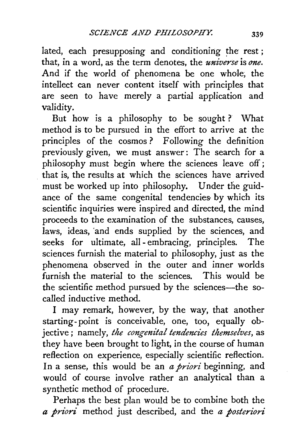lated, each presupposing and conditioning the rest; that, in a word, as the term denotes, the *universe* is *one.*  And if the world of phenomena be one whole; the intellect can never content itself with principles that are seen to have merely a partial application and validity.

But how is a philosophy to be sought ? What method is to be pursued in the effort to arrive at the principles of the cosmos? Following the definition previously given, we must answer: The search for a philosophy must begin where the sciences leave off; that is, the results at which the sciences have arrived must be worked up into philosophy. Under the guidance of the same congenital tendencies by which its scientific inquiries were inspired and directed, the mind proceeds to the examination of the substances, causes, laws, ideas, 'and ends supplied by the sciences, and seeks for ultimate, all- embracing, principles. The sciences furnish the material to philosophy, just as the phenomena observed in the outer and inner worlds furnish the material to the sciences. This would be the scientific method pursued by the sciences-the socalled inductive method.

I may remark, however, by the way, that another starting- point is conceivable, one, too, equally objective; namely, the congenital tendencies themselves, as they have been brought to light, in the course of human reflection on experience, especially scientific reflection. In a sense, this would be an *a priori* beginning, and would of course involve rather an analytical than a synthetic method of procedure.

Perhaps the best plan would be to combine both the *a priori* method just described, and the *a posteriori*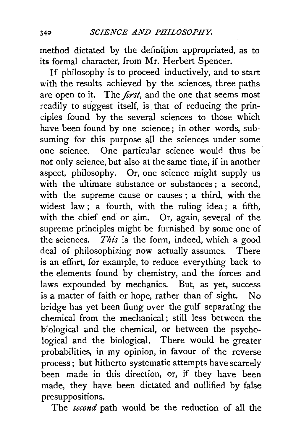method dictated by the definition appropriated, as to its formal character, from Mr. Herbert Spencer.

If philosophy is to proceed inductively, and to start with the results achieved by the sciences, three paths are open to it. The *first,* and the one that seems most readily to suggest itself, is that of reducing the principles found by the several sciences to those which have been found by one science; in other words, subsuming for this purpose all the sciences under some one science. One particular science would thus be not only science, but also at the same time, if in another aspect, philosophy. Or, one science might supply us with the ultimate substance or substances; a second, with the supreme cause or causes ; a third, with the widest law; a fourth, with the ruling idea; a fifth, with the chief end or aim. Or, again, several of the supreme principles might be furnished by some one of the sciences. *This* is the form, indeed, which a good deal of philosophizing now actually assumes. There is an effort, for example, to reduce everything back to the elements found by chemistry, and the forces and laws expounded by mechanics. But, as yet, success is a matter of faith or hope, rather than of sight. No bridge has yet been flung over the gulf separating the chemical from the mechanical ; still less between the biological and the chemical, or between the psychological and the biological. There would be greater probabilities, in my opinion, in favour of the reverse process; but hitherto systematic attempts have scarcely been made in this direction, or, if they have been made, they have been dictated and nullified by false presuppositions.

The *second* path would be the reduction of all the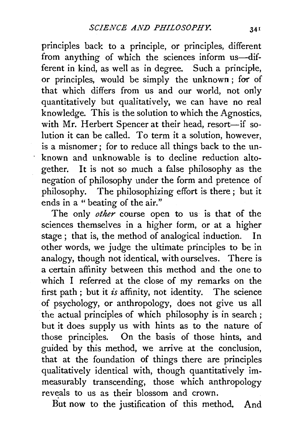principles back to a principle, or principles, different from anything of which the sciences inform us-different in kind, as well as in degree. Such a principle, or principles, would be simply the unknown ; for of that which differs from us and our world, not only quantitatively but qualitatively, we can have no real knowledge. This is the solution to which the Agnostics, with Mr. Herbert Spencer at their head, resort-if solution it can be called. To term it a solution, however, is a misnomer ; for to reduce all things back to the unknown and unknowable is to decline reduction altogether. It is not so much a false philosophy as the negation of philosophy under the form and pretence of philosophy. The philosophizing effort is there ; but it ends in a "beating of the air."

The only *other* course open to us is that of the sciences themselves in a higher form, or at a higher stage ; that is, the method of analogical induction. In other words, we judge the ultimate principles to be in analogy, though not identical, with ourselves. There is a certain affinity between this method and the one to which I referred at the close of my remarks on the tirst path ; but it *is* affinity, not identity. The science of psychology, or anthropology, does not give us all the actual principles of which philosophy is in search; but it does supply us with hints as to the nature of those principles. On the basis of those hints, and guided by this method, we arrive at the conclusion, that at the foundation of things there are principles qualitatively identical with, though quantitatively immeasurably transcending, those which anthropology reveals to us as their blossom and crown.

But now to the justification of this method. And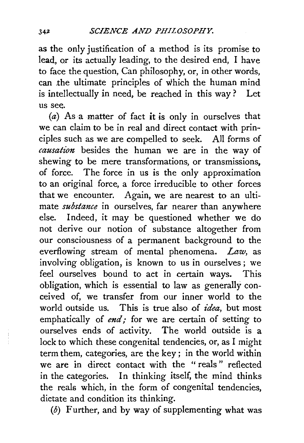as the only justification of a method is its promise to lead, or its actually leading, to the desired end, I have to face the question, Can philosophy, or, in other words, can the ultimate principles of which the human mind is intellectually in need, be reached in this way? Let us see.

 $(a)$  As a matter of fact it is only in ourselves that we can claim to be in real and direct contact with principles such as we are compelled to seek. All forms of *causation* besides the human we are in the way of shewing to be mere transformations, or transmissions, of force. The force in us is the only approximation to an original force, a force irreducible to other forces that we encounter. Again, we are nearest to an ultimate *substance* in ourselves, far nearer than anywhere else. Indeed, it may be questioned whether we do not derive our notion of substance altogether from our consciousness of a permanent background to the everflowing stream of mental phenomena. *Law,* as involving obligation, is known to us in ourselves ; we feel ourselves bound to act in certain ways. This obligation, which is essential to law as generally conceived of, we transfer from our inner world to the world outside us. This is true also of *idea,* but most emphatically of *end*; for we are certain of setting to ourselves ends of activity. The world outside is a lock to which these congenital tendencies, or, as I might term them, categories, are the key ; in the world within we are in direct contact with the "reals" reflected in the categories. In thinking itself, the mind thinks the reals which, in the form of congenital tendencies, dictate and condition its thinking.

 $(b)$  Further, and by way of supplementing what was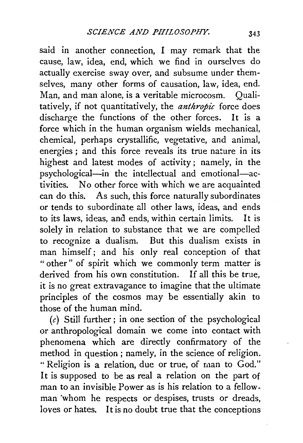said in another connection, I may remark that the cause, law, idea, end, which we find in ourselves do actually exercise sway over, and subsume under themselves, many other forms of causation, law, idea, end. Man, and man alone, is a veritable microcosm. Oualitatively, if not quantitatively, the *anthropic* force does discharge the functions of the other forces. It is a force which in the human organism wields mechanical, chemical, perhaps crystallific, vegetative, and animal, energies ; and this force reveals its true nature in its highest and latest modes of activity; namely, in the psychological-in the intellectual and emotional-activities. No other force with which we are acquainted can do this. As such, this force naturally subordinates or tends to subordinate all other laws, ideas, and ends to its laws, ideas, and ends, within certain limits. It is solely in relation to substance that we are compelled to recognize a dualism. But this dualism exists in man himself; and his only real conception of that " other" of spirit which we commonly term matter is derived from his own constitution. If all this be true, it is no great extravagance to imagine that the ultimate principles of the cosmos may be essentially akin to those of the human mind.

 $(c)$  Still further; in one section of the psychological or anthropological domain we come into contact with phenomena which are directly confirmatory of the method in question; namely, in the science of religion. "Religion is a relation, due or true, of man to God." It is supposed to be as real a relation on the part of man to an invisible Power as is his relation to a fellowman 'whom he respects or despises, trusts or dreads, loves or hates. It is no doubt true that the conceptions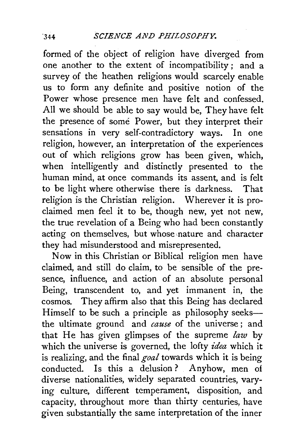formed of the object of religion have diverged from one another to the extent of incompatibility ; and a survey of the heathen religions would scarcely enable us to form any definite and positive notion of the Power whose presence men have felt and confessed. All we should be able to say would be, They have felt the presence of some Power, but they interpret their<br>sensations in very self-contradictory ways. In one sensations in very self-contradictory ways. religion, however, an interpretation of the experiences out of which religions grow has been given, which, when intelligently and distinctly presented to the human mind, at once commands its assent, and is felt to be light where otherwise there is darkness. That religion is the Christian religion. Wherever it is proclaimed men feel it to be, though new, yet not new, the true revelation of a Being who had been constantly acting on themselves, but whose nature and character they had misunderstood and misrepresented.

Now in this Christian or Biblical religion men have claimed, and still do claim, to be sensible of the presence, influence, and action of an absolute personal Being, transcendent to, and yet immanent in, the cosmos. They affirm also that this Being has declared Himself to be such a principle as philosophy seeksthe ultimate ground and *cause* of the universe ; and that He has given glimpses of the supreme *law* by which the universe is governed, the lofty *idea* which it is realizing, and the final *goal* towards which it is being conducted. Is this a delusion? Anyhow, men of diverse nationalities, widely separated countries, varying culture, different temperament, disposition, and capacity, throughout more than thirty centuries, have given substantially the same interpretation of the inner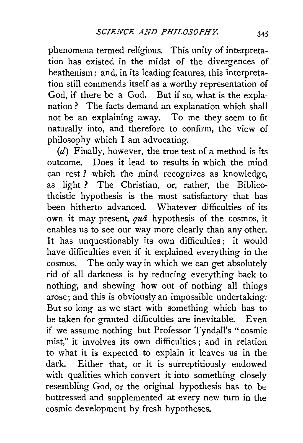phenomena termed religious. This unity of interpretation has existed in the midst of the divergences of heathenism; and, in its leading features, this interpretation still commends itself as a worthy representation of God, if there be a God. But if so, what is the explanation ? The facts demand an explanation which shall not be an explaining away. To me they seem to fit naturally into, and therefore to confirm, the view of philosophy which I am advocating.

 $(d)$  Finally, however, the true test of a method is its outcome. Does it lead to results in which the mind can rest? which the mind recognizes as knowledge, as light ? The Christian, or, rather, the Biblicotheistic hypothesis is the most satisfactory that has been hitherto advanced. Whatever difficulties of its own it may present, *qua* hypothesis of the cosmos, it enables us to see our way more clearly than any other. It has unquestionably its own difficulties; it would have difficulties even if it explained everything in the cosmos. The only way in which we can get absolutely rid of all darkness is by reducing everything back to nothing, and shewing how out of nothing all things arose; and this is obviously an impossible undertaking. But so long as we start with something which has to be taken for granted difficulties are inevitable. Even if we assume nothing but Professor Tyndall's "cosmic mist," it involves its own difficulties ; and in relation to what it is expected to explain it leaves us in the dark. Either that, or it is surreptitiously endowed with qualities which convert it into something closely resembling God, or the original hypothesis has to be buttressed and supplemented at every new turn in the cosmic development by fresh hypotheses.